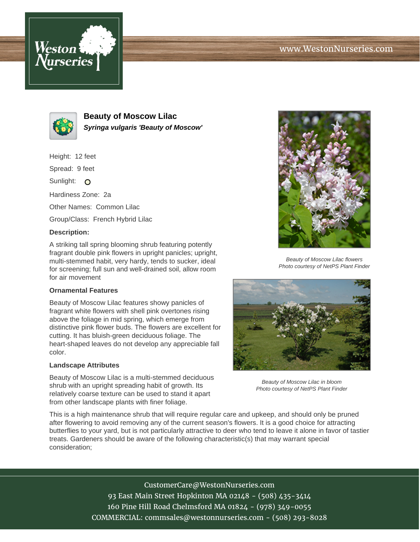# www.WestonNurseries.com





**Beauty of Moscow Lilac Syringa vulgaris 'Beauty of Moscow'**

Height: 12 feet

Spread: 9 feet

Sunlight: O

Hardiness Zone: 2a

Other Names: Common Lilac

Group/Class: French Hybrid Lilac

#### **Description:**

A striking tall spring blooming shrub featuring potently fragrant double pink flowers in upright panicles; upright, multi-stemmed habit, very hardy, tends to sucker, ideal for screening; full sun and well-drained soil, allow room for air movement

### **Ornamental Features**

Beauty of Moscow Lilac features showy panicles of fragrant white flowers with shell pink overtones rising above the foliage in mid spring, which emerge from distinctive pink flower buds. The flowers are excellent for cutting. It has bluish-green deciduous foliage. The heart-shaped leaves do not develop any appreciable fall color.

### **Landscape Attributes**

Beauty of Moscow Lilac is a multi-stemmed deciduous shrub with an upright spreading habit of growth. Its relatively coarse texture can be used to stand it apart from other landscape plants with finer foliage.



Beauty of Moscow Lilac flowers Photo courtesy of NetPS Plant Finder



Beauty of Moscow Lilac in bloom Photo courtesy of NetPS Plant Finder

This is a high maintenance shrub that will require regular care and upkeep, and should only be pruned after flowering to avoid removing any of the current season's flowers. It is a good choice for attracting butterflies to your yard, but is not particularly attractive to deer who tend to leave it alone in favor of tastier treats. Gardeners should be aware of the following characteristic(s) that may warrant special consideration;

> CustomerCare@WestonNurseries.com 93 East Main Street Hopkinton MA 02148 - (508) 435-3414 160 Pine Hill Road Chelmsford MA 01824 - (978) 349-0055 COMMERCIAL: commsales@westonnurseries.com - (508) 293-8028